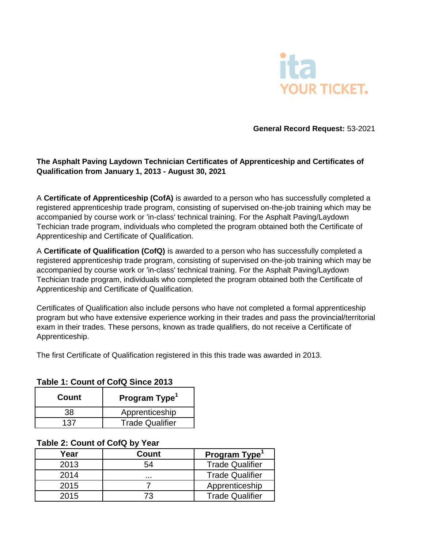

**General Record Request:** 53-2021

## **The Asphalt Paving Laydown Technician Certificates of Apprenticeship and Certificates of Qualification from January 1, 2013 - August 30, 2021**

A **Certificate of Apprenticeship (CofA)** is awarded to a person who has successfully completed a registered apprenticeship trade program, consisting of supervised on-the-job training which may be accompanied by course work or 'in-class' technical training. For the Asphalt Paving/Laydown Techician trade program, individuals who completed the program obtained both the Certificate of Apprenticeship and Certificate of Qualification.

A **Certificate of Qualification (CofQ)** is awarded to a person who has successfully completed a registered apprenticeship trade program, consisting of supervised on-the-job training which may be accompanied by course work or 'in-class' technical training. For the Asphalt Paving/Laydown Techician trade program, individuals who completed the program obtained both the Certificate of Apprenticeship and Certificate of Qualification.

Certificates of Qualification also include persons who have not completed a formal apprenticeship program but who have extensive experience working in their trades and pass the provincial/territorial exam in their trades. These persons, known as trade qualifiers, do not receive a Certificate of Apprenticeship.

The first Certificate of Qualification registered in this this trade was awarded in 2013.

## **Table 1: Count of CofQ Since 2013**

| Count | Program Type <sup>1</sup> |
|-------|---------------------------|
| 38    | Apprenticeship            |
| 137   | <b>Trade Qualifier</b>    |

## **Table 2: Count of CofQ by Year**

| Year | <b>Count</b> | Program Type <sup>1</sup> |
|------|--------------|---------------------------|
| 2013 | 54           | <b>Trade Qualifier</b>    |
| 2014 |              | <b>Trade Qualifier</b>    |
| 2015 |              | Apprenticeship            |
| 2015 | 73           | <b>Trade Qualifier</b>    |